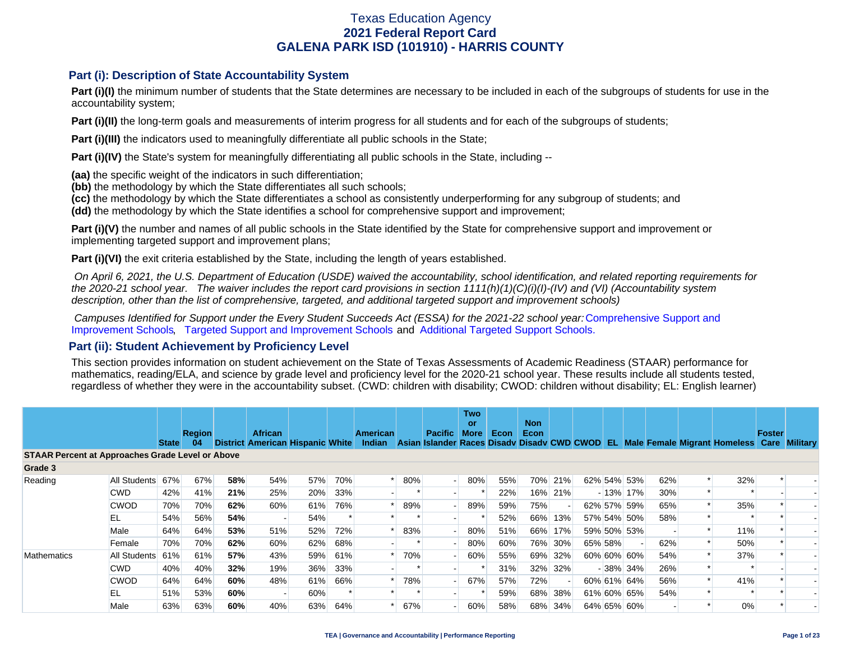#### **Part (i): Description of State Accountability System**

Part (i)(I) the minimum number of students that the State determines are necessary to be included in each of the subgroups of students for use in the accountability system;

**Part (i)(II)** the long-term goals and measurements of interim progress for all students and for each of the subgroups of students;

**Part (i)(III)** the indicators used to meaningfully differentiate all public schools in the State;

**Part (i)(IV)** the State's system for meaningfully differentiating all public schools in the State, including --

**(aa)** the specific weight of the indicators in such differentiation;

**(bb)** the methodology by which the State differentiates all such schools;

**(cc)** the methodology by which the State differentiates a school as consistently underperforming for any subgroup of students; and

**(dd)** the methodology by which the State identifies a school for comprehensive support and improvement;

**Part (i)(V)** the number and names of all public schools in the State identified by the State for comprehensive support and improvement or implementing targeted support and improvement plans;

**Part (i)(VI)** the exit criteria established by the State, including the length of years established.

 *On April 6, 2021, the U.S. Department of Education (USDE) waived the accountability, school identification, and related reporting requirements for the 2020-21 school year. The waiver includes the report card provisions in section 1111(h)(1)(C)(i)(I)-(IV) and (VI) (Accountability system description, other than the list of comprehensive, targeted, and additional targeted support and improvement schools)* 

*Campuses Identified for Support under the Every Student Succeeds Act (ESSA) for the 2021-22 school year:* [Comprehensive Support and](https://tea.texas.gov/sites/default/files/comprehensive_support_2021.xlsx) [Improvement Schools](https://tea.texas.gov/sites/default/files/comprehensive_support_2021.xlsx), [Targeted Support and Improvement Schools](https://tea.texas.gov/sites/default/files/targeted_support_2021.xlsx) and [Additional Targeted Support Schools.](https://tea.texas.gov/sites/default/files/additional_targeted_support_2021.xlsx)

#### **Part (ii): Student Achievement by Proficiency Level**

This section provides information on student achievement on the State of Texas Assessments of Academic Readiness (STAAR) performance for mathematics, reading/ELA, and science by grade level and proficiency level for the 2020-21 school year. These results include all students tested, regardless of whether they were in the accountability subset. (CWD: children with disability; CWOD: children without disability; EL: English learner)

|                                                         |                  |              |                     |     |                |                                         |     |                                  |     |                | Two<br><b>or</b> |             | <b>Non</b> |         |         |             |     |                                                                                           |               |  |
|---------------------------------------------------------|------------------|--------------|---------------------|-----|----------------|-----------------------------------------|-----|----------------------------------|-----|----------------|------------------|-------------|------------|---------|---------|-------------|-----|-------------------------------------------------------------------------------------------|---------------|--|
|                                                         |                  | <b>State</b> | <b>Region</b><br>04 |     | <b>African</b> | <b>District American Hispanic White</b> |     | <b>American</b><br><b>Indian</b> |     | <b>Pacific</b> | <b>More</b>      | <b>Econ</b> | Econ       |         |         |             |     | Asian Islander Races Disady Disady CWD CWOD EL Male Female Migrant Homeless Care Military | <b>Foster</b> |  |
| <b>STAAR Percent at Approaches Grade Level or Above</b> |                  |              |                     |     |                |                                         |     |                                  |     |                |                  |             |            |         |         |             |     |                                                                                           |               |  |
| Grade 3                                                 |                  |              |                     |     |                |                                         |     |                                  |     |                |                  |             |            |         |         |             |     |                                                                                           |               |  |
| Reading                                                 | All Students 67% |              | 67%                 | 58% | 54%            | 57%                                     | 70% |                                  | 80% |                | 80%              | 55%         |            | 70% 21% |         | 62% 54% 53% | 62% | 32%                                                                                       |               |  |
|                                                         | <b>CWD</b>       | 42%          | 41%                 | 21% | 25%            | 20%                                     | 33% |                                  |     |                |                  | 22%         |            | 16% 21% |         | $-13\%$ 17% | 30% |                                                                                           |               |  |
|                                                         | <b>CWOD</b>      | 70%          | 70%                 | 62% | 60%            | 61%                                     | 76% |                                  | 89% |                | 89%              | 59%         | 75%        |         |         | 62% 57% 59% | 65% | 35%                                                                                       |               |  |
|                                                         | EL               | 54%          | 56%                 | 54% |                | 54%                                     |     |                                  |     |                |                  | 52%         |            | 66% 13% |         | 57% 54% 50% | 58% |                                                                                           |               |  |
|                                                         | Male             | 64%          | 64%                 | 53% | 51%            | 52%                                     | 72% |                                  | 83% |                | 80%              | 51%         |            | 66% 17% |         | 59% 50% 53% |     | 11%                                                                                       |               |  |
|                                                         | Female           | 70%          | 70%                 | 62% | 60%            | 62%                                     | 68% |                                  |     |                | 80%              | 60%         |            | 76% 30% | 65% 58% |             | 62% | 50%                                                                                       |               |  |
| <b>Mathematics</b>                                      | All Students 61% |              | 61%                 | 57% | 43%            | 59%                                     | 61% |                                  | 70% |                | 60%              | 55%         |            | 69% 32% |         | 60% 60% 60% | 54% | 37%                                                                                       |               |  |
|                                                         | <b>CWD</b>       | 40%          | 40%                 | 32% | 19%            | 36%                                     | 33% |                                  |     |                |                  | 31%         |            | 32% 32% |         | $-38\%$ 34% | 26% |                                                                                           |               |  |
|                                                         | <b>CWOD</b>      | 64%          | 64%                 | 60% | 48%            | 61%                                     | 66% |                                  | 78% |                | 67%              | 57%         | 72%        |         |         | 60% 61% 64% | 56% | 41%                                                                                       |               |  |
|                                                         | EL               | 51%          | 53%                 | 60% |                | 60%                                     |     |                                  |     |                |                  | 59%         | 68%        | 38%     |         | 61% 60% 65% | 54% |                                                                                           |               |  |
|                                                         | Male             | 63%          | 63%                 | 60% | 40%            | 63%                                     | 64% |                                  | 67% |                | 60%              | 58%         |            | 68% 34% |         | 64% 65% 60% |     | $0\%$                                                                                     |               |  |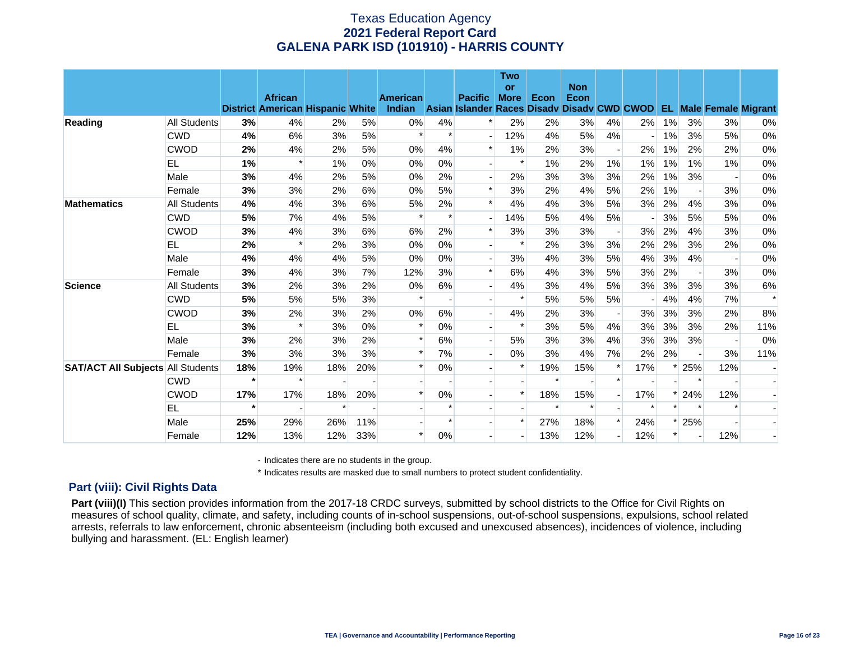|                                          |              |         |                                                           |        |       |                           |                          |                                                               | <b>Two</b><br><b>or</b> |        | <b>Non</b> |                          |        |        |                          |                               |        |
|------------------------------------------|--------------|---------|-----------------------------------------------------------|--------|-------|---------------------------|--------------------------|---------------------------------------------------------------|-------------------------|--------|------------|--------------------------|--------|--------|--------------------------|-------------------------------|--------|
|                                          |              |         | <b>African</b><br><b>District American Hispanic White</b> |        |       | <b>American</b><br>Indian |                          | <b>Pacific</b><br>Asian Islander Races Disady Disady CWD CWOD | <b>More</b>             | Econ   | Econ       |                          |        |        |                          | <b>EL Male Female Migrant</b> |        |
| Reading                                  | All Students | 3%      | 4%                                                        | 2%     | 5%    | $0\%$                     | 4%                       | $\ast$                                                        | 2%                      | 2%     | 3%         | 4%                       | 2%     | $1\%$  | 3%                       | 3%                            | 0%     |
|                                          | <b>CWD</b>   | 4%      | 6%                                                        | 3%     | 5%    | $\ast$                    | $\ast$                   |                                                               | 12%                     | 4%     | 5%         | 4%                       |        | $1\%$  | 3%                       | 5%                            | 0%     |
|                                          | <b>CWOD</b>  | 2%      | 4%                                                        | 2%     | 5%    | 0%                        | 4%                       | $\ast$                                                        | $1\%$                   | 2%     | 3%         | $\overline{\phantom{a}}$ | 2%     | $1\%$  | 2%                       | 2%                            | 0%     |
|                                          | EL           | 1%      | $\ast$                                                    | 1%     | $0\%$ | 0%                        | $0\%$                    |                                                               | $\ast$                  | 1%     | 2%         | $1\%$                    | 1%     | 1%     | 1%                       | 1%                            | 0%     |
|                                          | Male         | 3%      | 4%                                                        | 2%     | 5%    | 0%                        | 2%                       |                                                               | 2%                      | 3%     | 3%         | 3%                       | 2%     | $1\%$  | 3%                       |                               | 0%     |
|                                          | Female       | 3%      | 3%                                                        | 2%     | 6%    | 0%                        | 5%                       | $\ast$                                                        | 3%                      | 2%     | 4%         | 5%                       | 2%     | 1%     | $\overline{\phantom{a}}$ | 3%                            | $0\%$  |
| <b>Mathematics</b>                       | All Students | 4%      | 4%                                                        | 3%     | 6%    | 5%                        | 2%                       | $\ast$                                                        | 4%                      | 4%     | 3%         | 5%                       | 3%     | 2%     | 4%                       | 3%                            | 0%     |
|                                          | <b>CWD</b>   | 5%      | 7%                                                        | 4%     | 5%    | $\ast$                    | $\ast$                   |                                                               | 14%                     | 5%     | 4%         | 5%                       |        | 3%     | 5%                       | 5%                            | 0%     |
|                                          | CWOD         | 3%      | 4%                                                        | 3%     | 6%    | 6%                        | 2%                       | $\ast$                                                        | 3%                      | 3%     | 3%         | $\blacksquare$           | 3%     | 2%     | 4%                       | 3%                            | 0%     |
|                                          | EL           | 2%      | ж                                                         | 2%     | 3%    | 0%                        | 0%                       |                                                               | $\ast$                  | 2%     | 3%         | 3%                       | 2%     | 2%     | 3%                       | 2%                            | 0%     |
|                                          | Male         | 4%      | 4%                                                        | 4%     | 5%    | 0%                        | $0\%$                    |                                                               | 3%                      | 4%     | 3%         | 5%                       | 4%     | 3%     | 4%                       |                               | 0%     |
|                                          | Female       | 3%      | 4%                                                        | 3%     | 7%    | 12%                       | 3%                       | $\ast$                                                        | 6%                      | 4%     | 3%         | 5%                       | 3%     | 2%     | $\overline{\phantom{a}}$ | 3%                            | 0%     |
| <b>Science</b>                           | All Students | 3%      | 2%                                                        | 3%     | 2%    | 0%                        | 6%                       |                                                               | 4%                      | 3%     | 4%         | 5%                       | 3%     | 3%     | 3%                       | 3%                            | 6%     |
|                                          | <b>CWD</b>   | 5%      | 5%                                                        | 5%     | 3%    | $\ast$                    | $\overline{\phantom{a}}$ |                                                               | $\ast$                  | 5%     | 5%         | 5%                       |        | 4%     | 4%                       | 7%                            | $\ast$ |
|                                          | <b>CWOD</b>  | 3%      | 2%                                                        | 3%     | 2%    | 0%                        | 6%                       |                                                               | 4%                      | 2%     | 3%         | $\overline{\phantom{a}}$ | 3%     | 3%     | 3%                       | 2%                            | 8%     |
|                                          | <b>EL</b>    | 3%      | $\ast$                                                    | 3%     | 0%    | $\ast$                    | 0%                       |                                                               | $\ast$                  | 3%     | 5%         | 4%                       | 3%     | 3%     | 3%                       | 2%                            | 11%    |
|                                          | Male         | 3%      | 2%                                                        | 3%     | 2%    | $\ast$                    | 6%                       |                                                               | 5%                      | 3%     | 3%         | 4%                       | 3%     | 3%     | 3%                       |                               | 0%     |
|                                          | Female       | 3%      | 3%                                                        | 3%     | 3%    | $\ast$                    | 7%                       |                                                               | $0\%$                   | 3%     | 4%         | 7%                       | 2%     | 2%     | $\overline{\phantom{a}}$ | 3%                            | 11%    |
| <b>SAT/ACT All Subjects All Students</b> |              | 18%     | 19%                                                       | 18%    | 20%   | $\ast$                    | $0\%$                    |                                                               | $\ast$                  | 19%    | 15%        | *                        | 17%    |        | 25%                      | 12%                           |        |
|                                          | <b>CWD</b>   | $\star$ | $\ast$                                                    |        |       |                           |                          |                                                               |                         | $\ast$ |            | $\ast$                   |        |        | $\ast$                   |                               |        |
|                                          | <b>CWOD</b>  | 17%     | 17%                                                       | 18%    | 20%   | $\ast$                    | 0%                       |                                                               | $\ast$                  | 18%    | 15%        |                          | 17%    | $\ast$ | 24%                      | 12%                           |        |
|                                          | <b>EL</b>    | $\star$ |                                                           | $\ast$ |       |                           | $\ast$                   |                                                               |                         | $\ast$ | $\ast$     |                          | $\ast$ |        | $\star$                  |                               |        |
|                                          | Male         | 25%     | 29%                                                       | 26%    | 11%   |                           | $\ast$                   |                                                               | $\ast$                  | 27%    | 18%        | $\ast$                   | 24%    |        | 25%                      |                               |        |
|                                          | Female       | 12%     | 13%                                                       | 12%    | 33%   | $\ast$                    | $0\%$                    |                                                               |                         | 13%    | 12%        |                          | 12%    |        | $\overline{\phantom{a}}$ | 12%                           |        |

- Indicates there are no students in the group.

\* Indicates results are masked due to small numbers to protect student confidentiality.

#### **Part (viii): Civil Rights Data**

Part (viii)(I) This section provides information from the 2017-18 CRDC surveys, submitted by school districts to the Office for Civil Rights on measures of school quality, climate, and safety, including counts of in-school suspensions, out-of-school suspensions, expulsions, school related arrests, referrals to law enforcement, chronic absenteeism (including both excused and unexcused absences), incidences of violence, including bullying and harassment. (EL: English learner)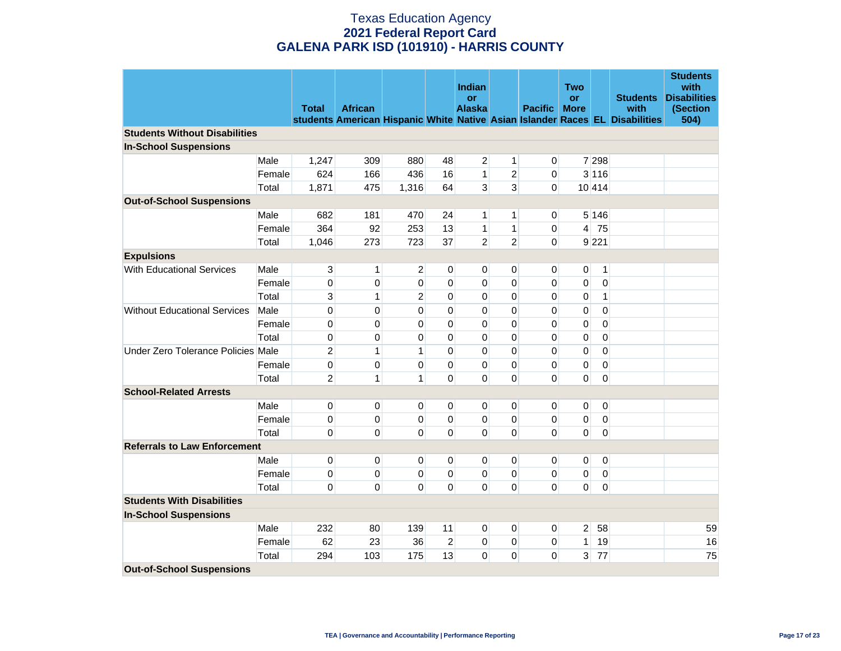|                                      |        | <b>Total</b>   | <b>African</b> |                |                | Indian<br>or<br><b>Alaska</b> |                | <b>Pacific</b> | <b>Two</b><br><b>or</b><br><b>More</b> |                | <b>Students</b><br>with<br>students American Hispanic White Native Asian Islander Races EL Disabilities | <b>Students</b><br>with<br><b>Disabilities</b><br>(Section<br>504) |
|--------------------------------------|--------|----------------|----------------|----------------|----------------|-------------------------------|----------------|----------------|----------------------------------------|----------------|---------------------------------------------------------------------------------------------------------|--------------------------------------------------------------------|
| <b>Students Without Disabilities</b> |        |                |                |                |                |                               |                |                |                                        |                |                                                                                                         |                                                                    |
| <b>In-School Suspensions</b>         |        |                |                |                |                |                               |                |                |                                        |                |                                                                                                         |                                                                    |
|                                      | Male   | 1,247          | 309            | 880            | 48             | 2                             | 1              | 0              |                                        | 7 298          |                                                                                                         |                                                                    |
|                                      | Female | 624            | 166            | 436            | 16             | 1                             | $\overline{2}$ | 0              |                                        | 3 1 1 6        |                                                                                                         |                                                                    |
|                                      | Total  | 1,871          | 475            | 1,316          | 64             | 3                             | 3              | $\overline{0}$ |                                        | 10 414         |                                                                                                         |                                                                    |
| <b>Out-of-School Suspensions</b>     |        |                |                |                |                |                               |                |                |                                        |                |                                                                                                         |                                                                    |
|                                      | Male   | 682            | 181            | 470            | 24             | 1                             | 1              | 0              |                                        | 5 146          |                                                                                                         |                                                                    |
|                                      | Female | 364            | 92             | 253            | 13             | 1                             | $\mathbf{1}$   | 0              |                                        | $4$ 75         |                                                                                                         |                                                                    |
|                                      | Total  | 1,046          | 273            | 723            | 37             | $\overline{2}$                | $\overline{2}$ | 0              |                                        | 9 221          |                                                                                                         |                                                                    |
| <b>Expulsions</b>                    |        |                |                |                |                |                               |                |                |                                        |                |                                                                                                         |                                                                    |
| With Educational Services            | Male   | 3              | $\mathbf{1}$   | 2              | 0              | 0                             | 0              | 0              | 0                                      | $\mathbf{1}$   |                                                                                                         |                                                                    |
|                                      | Female | $\pmb{0}$      | 0              | 0              | 0              | 0                             | 0              | 0              | 0                                      | $\pmb{0}$      |                                                                                                         |                                                                    |
|                                      | Total  | 3              | $\mathbf{1}$   | $\overline{2}$ | 0              | 0                             | 0              | 0              | 0                                      | $\mathbf{1}$   |                                                                                                         |                                                                    |
| <b>Without Educational Services</b>  | Male   | $\pmb{0}$      | 0              | 0              | 0              | 0                             | 0              | 0              | 0                                      | $\pmb{0}$      |                                                                                                         |                                                                    |
|                                      | Female | $\pmb{0}$      | 0              | 0              | 0              | 0                             | 0              | 0              | 0                                      | 0              |                                                                                                         |                                                                    |
|                                      | Total  | $\pmb{0}$      | 0              | 0              | 0              | 0                             | 0              | 0              | 0                                      | $\pmb{0}$      |                                                                                                         |                                                                    |
| Under Zero Tolerance Policies Male   |        | $\overline{2}$ | $\mathbf{1}$   | $\mathbf{1}$   | 0              | 0                             | 0              | 0              | 0                                      | $\mathbf 0$    |                                                                                                         |                                                                    |
|                                      | Female | $\pmb{0}$      | 0              | 0              | 0              | 0                             | 0              | 0              | 0                                      | 0              |                                                                                                         |                                                                    |
|                                      | Total  | $\overline{2}$ | $\mathbf{1}$   | 1              | 0              | 0                             | 0              | 0              | 0                                      | $\mathbf 0$    |                                                                                                         |                                                                    |
| <b>School-Related Arrests</b>        |        |                |                |                |                |                               |                |                |                                        |                |                                                                                                         |                                                                    |
|                                      | Male   | 0              | 0              | 0              | 0              | 0                             | 0              | 0              | 0                                      | 0              |                                                                                                         |                                                                    |
|                                      | Female | $\pmb{0}$      | 0              | 0              | 0              | $\mathbf 0$                   | $\mathbf 0$    | 0              | 0                                      | 0              |                                                                                                         |                                                                    |
|                                      | Total  | 0              | 0              | $\mathbf 0$    | 0              | $\Omega$                      | 0              | 0              | 0                                      | $\mathbf 0$    |                                                                                                         |                                                                    |
| <b>Referrals to Law Enforcement</b>  |        |                |                |                |                |                               |                |                |                                        |                |                                                                                                         |                                                                    |
|                                      | Male   | 0              | 0              | 0              | 0              | 0                             | 0              | 0              | 0                                      | 0              |                                                                                                         |                                                                    |
|                                      | Female | 0              | 0              | 0              | 0              | 0                             | 0              | 0              | 0                                      | $\overline{0}$ |                                                                                                         |                                                                    |
|                                      | Total  | 0              | 0              | 0              | 0              | $\Omega$                      | 0              | 0              | 0                                      | $\pmb{0}$      |                                                                                                         |                                                                    |
| <b>Students With Disabilities</b>    |        |                |                |                |                |                               |                |                |                                        |                |                                                                                                         |                                                                    |
| <b>In-School Suspensions</b>         |        |                |                |                |                |                               |                |                |                                        |                |                                                                                                         |                                                                    |
|                                      | Male   | 232            | 80             | 139            | 11             | 0                             | 0              | 0              | 2 <sup>1</sup>                         | 58             |                                                                                                         | 59                                                                 |
|                                      | Female | 62             | 23             | 36             | $\overline{2}$ | 0                             | $\mathsf 0$    | 0              | 1                                      | 19             |                                                                                                         | 16                                                                 |
|                                      | Total  | 294            | 103            | 175            | 13             | 0                             | 0              | 0              | 3 <sup>1</sup>                         | 77             |                                                                                                         | 75                                                                 |
| <b>Out-of-School Suspensions</b>     |        |                |                |                |                |                               |                |                |                                        |                |                                                                                                         |                                                                    |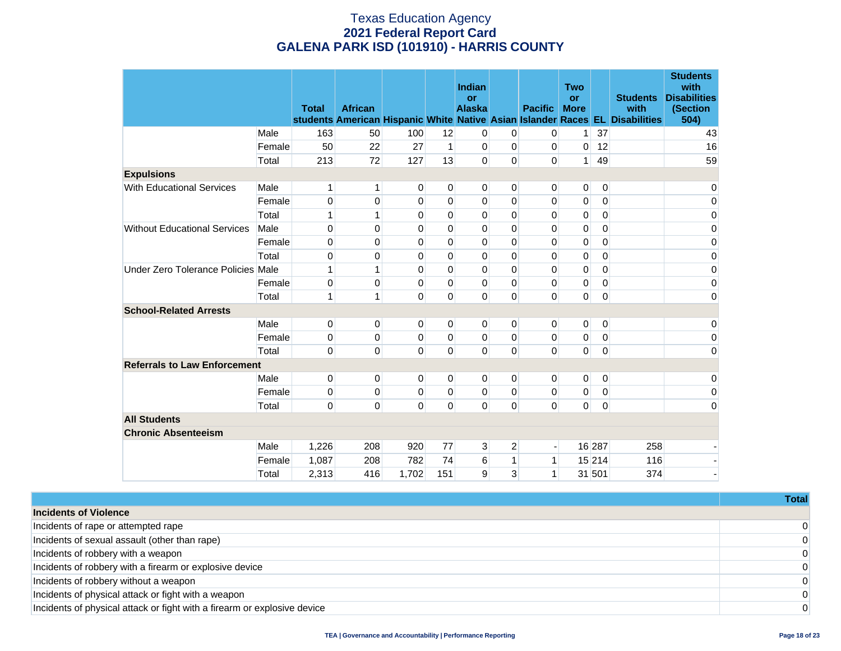|                                     |        | <b>Total</b> | <b>African</b> |                |          | Indian<br>or<br><b>Alaska</b> |                | <b>Pacific</b> | <b>Two</b><br><b>or</b><br><b>More</b> |             | <b>Students</b><br>with<br>students American Hispanic White Native Asian Islander Races EL Disabilities | <b>Students</b><br>with<br><b>Disabilities</b><br>(Section<br>504) |
|-------------------------------------|--------|--------------|----------------|----------------|----------|-------------------------------|----------------|----------------|----------------------------------------|-------------|---------------------------------------------------------------------------------------------------------|--------------------------------------------------------------------|
|                                     | Male   | 163          | 50             | 100            | 12       | 0                             | 0              | 0              | 1.                                     | 37          |                                                                                                         | 43                                                                 |
|                                     | Female | 50           | 22             | 27             | 1        | 0                             | 0              | 0              | 0                                      | 12          |                                                                                                         | 16                                                                 |
|                                     | Total  | 213          | 72             | 127            | 13       | 0                             | 0              | 0              | 1 <sup>1</sup>                         | 49          |                                                                                                         | 59                                                                 |
| <b>Expulsions</b>                   |        |              |                |                |          |                               |                |                |                                        |             |                                                                                                         |                                                                    |
| <b>With Educational Services</b>    | Male   | $\mathbf{1}$ | 1              | $\overline{0}$ | 0        | 0                             | 0              | 0              | $\overline{0}$                         | $\mathbf 0$ |                                                                                                         | 0                                                                  |
|                                     | Female | 0            | 0              | $\mathbf 0$    | 0        | 0                             | $\mathbf 0$    | 0              | 0                                      | 0           |                                                                                                         | $\pmb{0}$                                                          |
|                                     | Total  | $\mathbf{1}$ | 1              | $\Omega$       | 0        | 0                             | 0              | 0              | 0                                      | 0           |                                                                                                         | 0                                                                  |
| <b>Without Educational Services</b> | Male   | 0            | 0              | $\Omega$       | $\Omega$ | 0                             | $\Omega$       | 0              | 0                                      | 0           |                                                                                                         | 0                                                                  |
|                                     | Female | 0            | 0              | $\mathbf 0$    | 0        | 0                             | 0              | 0              | 0                                      | 0           |                                                                                                         | 0                                                                  |
|                                     | Total  | 0            | 0              | $\mathbf 0$    | 0        | 0                             | 0              | 0              | 0                                      | 0           |                                                                                                         | 0                                                                  |
| Under Zero Tolerance Policies Male  |        | 1            | 1              | $\mathbf 0$    | 0        | 0                             | 0              | 0              | 0                                      | 0           |                                                                                                         | 0                                                                  |
|                                     | Female | 0            | 0              | $\Omega$       | 0        | 0                             | 0              | 0              | 0                                      | 0           |                                                                                                         | 0                                                                  |
|                                     | Total  | 1            | 1              | $\Omega$       | 0        | 0                             | 0              | 0              | $\overline{0}$                         | 0           |                                                                                                         | 0                                                                  |
| <b>School-Related Arrests</b>       |        |              |                |                |          |                               |                |                |                                        |             |                                                                                                         |                                                                    |
|                                     | Male   | 0            | 0              | $\overline{0}$ | 0        | 0                             | 0              | 0              | $\overline{0}$                         | 0           |                                                                                                         | 0                                                                  |
|                                     | Female | 0            | 0              | $\mathbf 0$    | 0        | 0                             | 0              | 0              | 0                                      | 0           |                                                                                                         | 0                                                                  |
|                                     | Total  | $\mathbf 0$  | 0              | $\mathbf 0$    | 0        | 0                             | 0              | 0              | $\overline{0}$                         | $\mathbf 0$ |                                                                                                         | 0                                                                  |
| <b>Referrals to Law Enforcement</b> |        |              |                |                |          |                               |                |                |                                        |             |                                                                                                         |                                                                    |
|                                     | Male   | 0            | 0              | $\overline{0}$ | 0        | 0                             | 0              | 0              | $\overline{0}$                         | 0           |                                                                                                         | 0                                                                  |
|                                     | Female | $\mathbf 0$  | 0              | $\mathbf 0$    | $\Omega$ | 0                             | 0              | 0              | 0                                      | $\mathbf 0$ |                                                                                                         | 0                                                                  |
|                                     | Total  | $\mathbf 0$  | $\overline{0}$ | $\mathbf 0$    | 0        | 0                             | 0              | 0              | $\overline{0}$                         | $\mathbf 0$ |                                                                                                         | 0                                                                  |
| <b>All Students</b>                 |        |              |                |                |          |                               |                |                |                                        |             |                                                                                                         |                                                                    |
| <b>Chronic Absenteeism</b>          |        |              |                |                |          |                               |                |                |                                        |             |                                                                                                         |                                                                    |
|                                     | Male   | 1,226        | 208            | 920            | 77       | 3                             | $\overline{2}$ |                |                                        | 16 287      | 258                                                                                                     |                                                                    |
|                                     | Female | 1,087        | 208            | 782            | 74       | 6                             | 1              | 1              |                                        | 15 214      | 116                                                                                                     |                                                                    |
|                                     | Total  | 2,313        | 416            | 1,702          | 151      | 9                             | 3              | 1              |                                        | 31 501      | 374                                                                                                     |                                                                    |

|                                                                          | <b>Total</b> |
|--------------------------------------------------------------------------|--------------|
| <b>Incidents of Violence</b>                                             |              |
| Incidents of rape or attempted rape                                      | $\Omega$     |
| Incidents of sexual assault (other than rape)                            | $\Omega$     |
| Incidents of robbery with a weapon                                       | $\Omega$     |
| Incidents of robbery with a firearm or explosive device                  | $\Omega$     |
| Incidents of robbery without a weapon                                    | $\Omega$     |
| Incidents of physical attack or fight with a weapon                      | $\Omega$     |
| Incidents of physical attack or fight with a firearm or explosive device | $\Omega$     |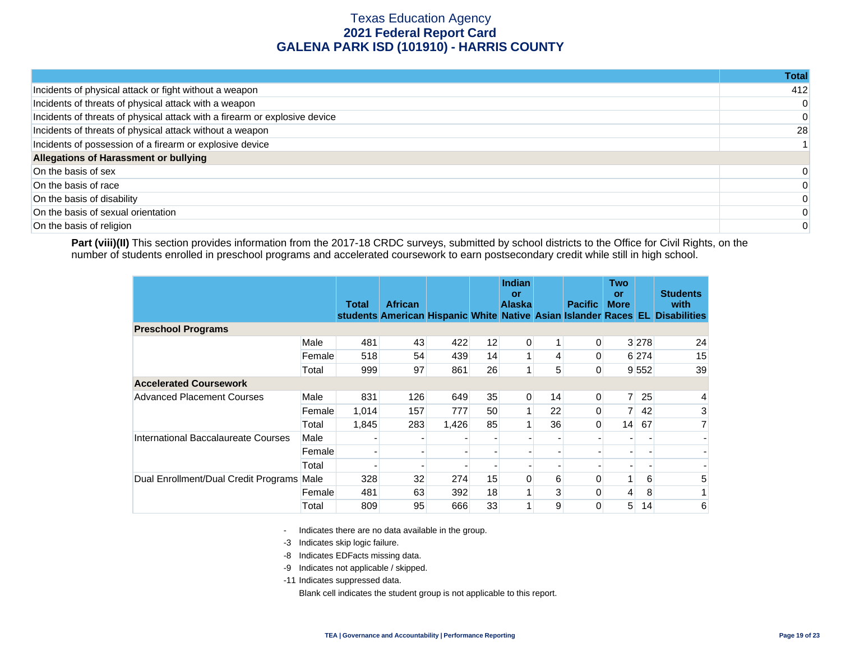|                                                                            | Total |
|----------------------------------------------------------------------------|-------|
| Incidents of physical attack or fight without a weapon                     | 412   |
| Incidents of threats of physical attack with a weapon                      |       |
| Incidents of threats of physical attack with a firearm or explosive device |       |
| Incidents of threats of physical attack without a weapon                   | 28    |
| Incidents of possession of a firearm or explosive device                   |       |
| Allegations of Harassment or bullying                                      |       |
| On the basis of sex                                                        |       |
| On the basis of race                                                       |       |
| On the basis of disability                                                 |       |
| On the basis of sexual orientation                                         |       |
| On the basis of religion                                                   |       |

Part (viii)(II) This section provides information from the 2017-18 CRDC surveys, submitted by school districts to the Office for Civil Rights, on the number of students enrolled in preschool programs and accelerated coursework to earn postsecondary credit while still in high school.

|                                           |        | <b>Total</b> | <b>African</b> |       |    | <b>Indian</b><br>or<br><b>Alaska</b> |    | <b>Pacific</b> | <b>Two</b><br>or<br><b>More</b> |                 | <b>Students</b><br>with<br>students American Hispanic White Native Asian Islander Races EL Disabilities |
|-------------------------------------------|--------|--------------|----------------|-------|----|--------------------------------------|----|----------------|---------------------------------|-----------------|---------------------------------------------------------------------------------------------------------|
| <b>Preschool Programs</b>                 |        |              |                |       |    |                                      |    |                |                                 |                 |                                                                                                         |
|                                           | Male   | 481          | 43             | 422   | 12 | 0                                    |    | 0              |                                 | 3 2 7 8         | 24                                                                                                      |
|                                           | Female | 518          | 54             | 439   | 14 |                                      | 4  | 0              |                                 | 6 274           | 15                                                                                                      |
|                                           | Total  | 999          | 97             | 861   | 26 | 1.                                   | 5  | 0              |                                 | 9 5 5 2         | 39                                                                                                      |
| <b>Accelerated Coursework</b>             |        |              |                |       |    |                                      |    |                |                                 |                 |                                                                                                         |
| <b>Advanced Placement Courses</b>         | Male   | 831          | 126            | 649   | 35 | 0                                    | 14 | 0              | 7 <sup>1</sup>                  | 25              | 4                                                                                                       |
|                                           | Female | 1,014        | 157            | 777   | 50 |                                      | 22 | 0              | 7 <sup>1</sup>                  | 42              | 3                                                                                                       |
|                                           | Total  | 1,845        | 283            | 1,426 | 85 |                                      | 36 | 0              | 14                              | 67              | 7 <sup>1</sup>                                                                                          |
| International Baccalaureate Courses       | Male   |              |                |       |    |                                      |    |                |                                 |                 |                                                                                                         |
|                                           | Female |              |                |       |    |                                      |    |                |                                 |                 |                                                                                                         |
|                                           | Total  |              |                |       |    |                                      |    |                |                                 |                 |                                                                                                         |
| Dual Enrollment/Dual Credit Programs Male |        | 328          | 32             | 274   | 15 | 0                                    | 6  | $\mathbf{0}$   | 1                               | 6               | 5                                                                                                       |
|                                           | Female | 481          | 63             | 392   | 18 |                                      | 3  | $\Omega$       | 4                               | 8               |                                                                                                         |
|                                           | Total  | 809          | 95             | 666   | 33 | $\mathbf{1}$                         | 9  | 0              | 5                               | 14 <sub>1</sub> | 6                                                                                                       |

- Indicates there are no data available in the group.

-3 Indicates skip logic failure.

- -8 Indicates EDFacts missing data.
- -9 Indicates not applicable / skipped.

-11 Indicates suppressed data.

Blank cell indicates the student group is not applicable to this report.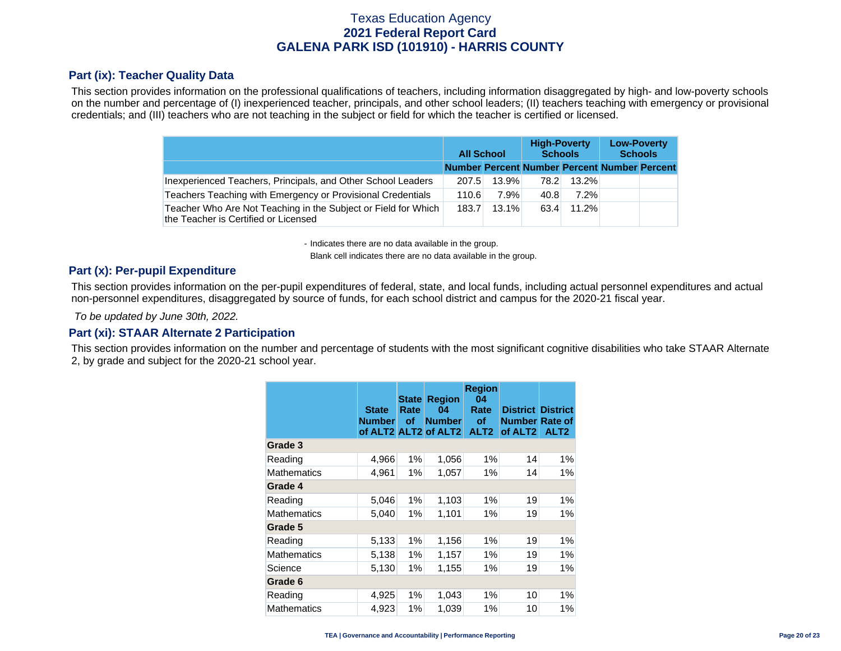### **Part (ix): Teacher Quality Data**

This section provides information on the professional qualifications of teachers, including information disaggregated by high- and low-poverty schools on the number and percentage of (I) inexperienced teacher, principals, and other school leaders; (II) teachers teaching with emergency or provisional credentials; and (III) teachers who are not teaching in the subject or field for which the teacher is certified or licensed.

|                                                                                                        |                                              | <b>All School</b> |      | <b>High-Poverty</b><br><b>Schools</b> | <b>Low-Poverty</b><br><b>Schools</b> |  |  |
|--------------------------------------------------------------------------------------------------------|----------------------------------------------|-------------------|------|---------------------------------------|--------------------------------------|--|--|
|                                                                                                        | Number Percent Number Percent Number Percent |                   |      |                                       |                                      |  |  |
| Inexperienced Teachers, Principals, and Other School Leaders                                           | 207.5                                        | 13.9%             | 78.2 | $13.2\%$                              |                                      |  |  |
| Teachers Teaching with Emergency or Provisional Credentials                                            | 110.6                                        | 7.9%              | 40.8 | $7.2\%$                               |                                      |  |  |
| Teacher Who Are Not Teaching in the Subject or Field for Which<br>the Teacher is Certified or Licensed | 183.7                                        | 13.1%             | 63.4 | 11.2%                                 |                                      |  |  |

- Indicates there are no data available in the group.

Blank cell indicates there are no data available in the group.

#### **Part (x): Per-pupil Expenditure**

This section provides information on the per-pupil expenditures of federal, state, and local funds, including actual personnel expenditures and actual non-personnel expenditures, disaggregated by source of funds, for each school district and campus for the 2020-21 fiscal year.

 *To be updated by June 30th, 2022.* 

#### **Part (xi): STAAR Alternate 2 Participation**

This section provides information on the number and percentage of students with the most significant cognitive disabilities who take STAAR Alternate 2, by grade and subject for the 2020-21 school year.

|                    | <b>State</b><br><b>Number</b> | <b>State</b><br>Rate<br>οf | <b>Region</b><br>04<br><b>Number</b><br>of ALT2 ALT2 of ALT2 | <b>Region</b><br>04<br>Rate<br>οf<br>ALT <sub>2</sub> | <b>District District</b><br><b>Number Rate of</b><br>of ALT <sub>2</sub> | ALT <sub>2</sub> |
|--------------------|-------------------------------|----------------------------|--------------------------------------------------------------|-------------------------------------------------------|--------------------------------------------------------------------------|------------------|
| Grade 3            |                               |                            |                                                              |                                                       |                                                                          |                  |
| Reading            | 4,966                         | 1%                         | 1,056                                                        | 1%                                                    | 14                                                                       | $1\%$            |
| Mathematics        | 4,961                         | $1\%$                      | 1,057                                                        | $1\%$                                                 | 14                                                                       | $1\%$            |
| Grade 4            |                               |                            |                                                              |                                                       |                                                                          |                  |
| Reading            | 5,046                         | 1%                         | 1,103                                                        | 1%                                                    | 19                                                                       | $1\%$            |
| <b>Mathematics</b> | 5,040                         | $1\%$                      | 1,101                                                        | $1\%$                                                 | 19                                                                       | $1\%$            |
| Grade 5            |                               |                            |                                                              |                                                       |                                                                          |                  |
| Reading            | 5,133                         | $1\%$                      | 1,156                                                        | 1%                                                    | 19                                                                       | $1\%$            |
| <b>Mathematics</b> | 5,138                         | $1\%$                      | 1,157                                                        | $1\%$                                                 | 19                                                                       | 1%               |
| Science            | 5,130                         | $1\%$                      | 1,155                                                        | $1\%$                                                 | 19                                                                       | $1\%$            |
| Grade 6            |                               |                            |                                                              |                                                       |                                                                          |                  |
| Reading            | 4,925                         | $1\%$                      | 1,043                                                        | 1%                                                    | 10                                                                       | $1\%$            |
| <b>Mathematics</b> | 4,923                         | 1%                         | 1,039                                                        | 1%                                                    | 10                                                                       | $1\%$            |